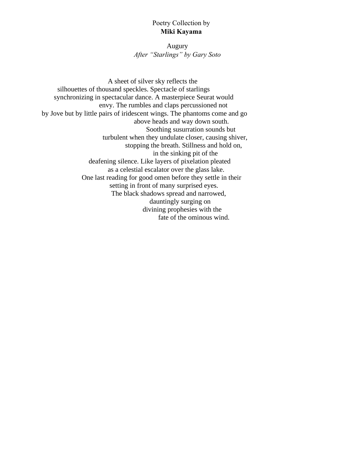# Poetry Collection by **Miki Kayama**

Augury *After "Starlings" by Gary Soto*

A sheet of silver sky reflects the silhouettes of thousand speckles. Spectacle of starlings synchronizing in spectacular dance. A masterpiece Seurat would envy. The rumbles and claps percussioned not by Jove but by little pairs of iridescent wings. The phantoms come and go above heads and way down south. Soothing susurration sounds but turbulent when they undulate closer, causing shiver, stopping the breath. Stillness and hold on, in the sinking pit of the deafening silence. Like layers of pixelation pleated as a celestial escalator over the glass lake. One last reading for good omen before they settle in their setting in front of many surprised eyes. The black shadows spread and narrowed, dauntingly surging on divining prophesies with the fate of the ominous wind.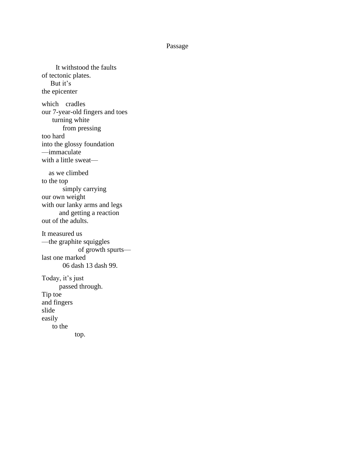#### Passage

 It withstood the faults of tectonic plates. But it's the epicenter which cradles our 7-year-old fingers and toes turning white from pressing too hard into the glossy foundation —immaculate with a little sweat as we climbed to the top simply carrying our own weight with our lanky arms and legs and getting a reaction out of the adults. It measured us —the graphite squiggles of growth spurts last one marked 06 dash 13 dash 99. Today, it's just passed through. Tip toe and fingers slide easily to the top.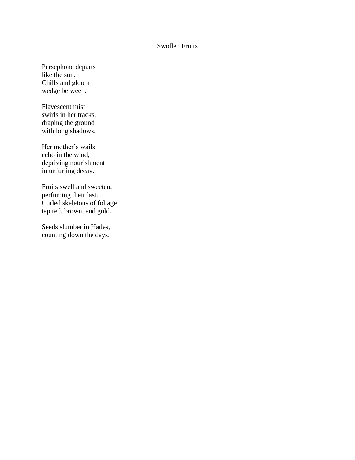## Swollen Fruits

Persephone departs like the sun. Chills and gloom wedge between.

Flavescent mist swirls in her tracks, draping the ground with long shadows.

Her mother's wails echo in the wind, depriving nourishment in unfurling decay.

Fruits swell and sweeten, perfuming their last. Curled skeletons of foliage tap red, brown, and gold.

Seeds slumber in Hades, counting down the days.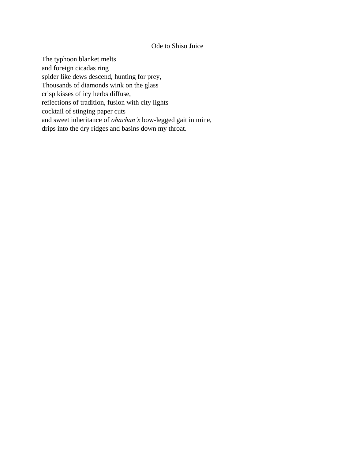# Ode to Shiso Juice

The typhoon blanket melts and foreign cicadas ring spider like dews descend, hunting for prey, Thousands of diamonds wink on the glass crisp kisses of icy herbs diffuse, reflections of tradition, fusion with city lights cocktail of stinging paper cuts and sweet inheritance of *obachan's* bow-legged gait in mine, drips into the dry ridges and basins down my throat.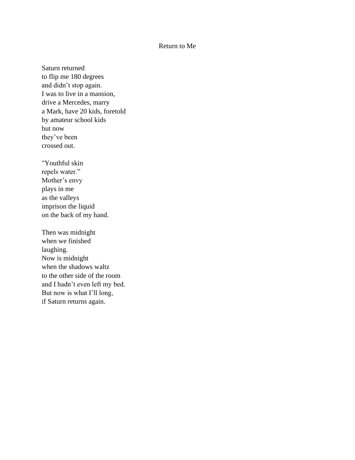# Return to Me

Saturn returned to flip me 180 degrees and didn't stop again. I was to live in a mansion, drive a Mercedes, marry a Mark, have 20 kids, foretold by amateur school kids but now they've been crossed out.

"Youthful skin repels water." Mother's envy plays in me as the valleys imprison the liquid on the back of my hand.

Then was midnight when we finished laughing. Now is midnight when the shadows waltz to the other side of the room and I hadn't even left my bed. But now is what I'll long, if Saturn returns again.